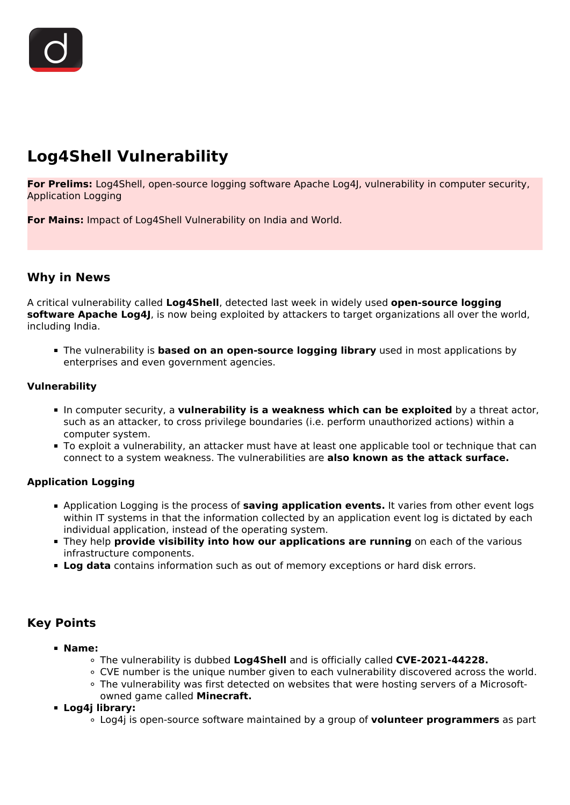# **Log4Shell Vulnerability**

**For Prelims:** Log4Shell, open-source logging software Apache Log4J, vulnerability in computer security, Application Logging

**For Mains:** Impact of Log4Shell Vulnerability on India and World.

## **Why in News**

A critical vulnerability called **Log4Shell**, detected last week in widely used **open-source logging software Apache Log4J**, is now being exploited by attackers to target organizations all over the world, including India.

The vulnerability is **based on an open-source logging library** used in most applications by enterprises and even government agencies.

## **Vulnerability**

- In computer security, a **vulnerability is a weakness which can be exploited** by a threat actor, such as an attacker, to cross privilege boundaries (i.e. perform unauthorized actions) within a computer system.
- To exploit a vulnerability, an attacker must have at least one applicable tool or technique that can connect to a system weakness. The vulnerabilities are **also known as the attack surface.**

## **Application Logging**

- Application Logging is the process of **saving application events.** It varies from other event logs within IT systems in that the information collected by an application event log is dictated by each individual application, instead of the operating system.
- **They help provide visibility into how our applications are running** on each of the various infrastructure components.
- **Log data** contains information such as out of memory exceptions or hard disk errors.

## **Key Points**

- **Name:**
	- The vulnerability is dubbed **Log4Shell** and is officially called **CVE-2021-44228.**
	- CVE number is the unique number given to each vulnerability discovered across the world.
	- The vulnerability was first detected on websites that were hosting servers of a Microsoftowned game called **Minecraft.**
- **Log4j library:**
	- Log4j is open-source software maintained by a group of **volunteer programmers** as part